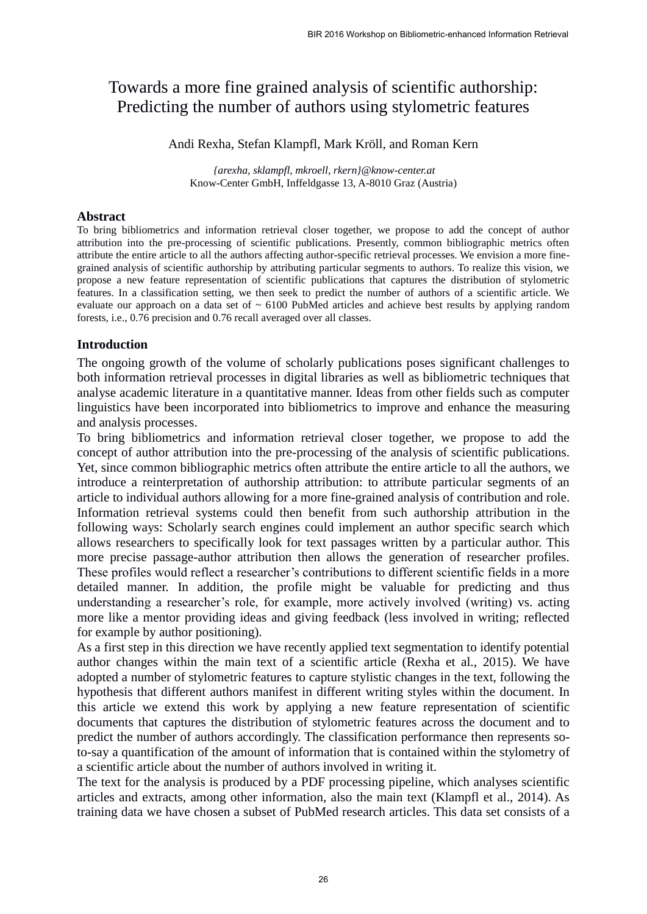# Towards a more fine grained analysis of scientific authorship: Predicting the number of authors using stylometric features

Andi Rexha, Stefan Klampfl, Mark Kröll, and Roman Kern

*{arexha, sklampfl, mkroell, rkern}@know-center.at* Know-Center GmbH, Inffeldgasse 13, A-8010 Graz (Austria)

#### **Abstract**

To bring bibliometrics and information retrieval closer together, we propose to add the concept of author attribution into the pre-processing of scientific publications. Presently, common bibliographic metrics often attribute the entire article to all the authors affecting author-specific retrieval processes. We envision a more finegrained analysis of scientific authorship by attributing particular segments to authors. To realize this vision, we propose a new feature representation of scientific publications that captures the distribution of stylometric features. In a classification setting, we then seek to predict the number of authors of a scientific article. We evaluate our approach on a data set of  $\sim 6100$  PubMed articles and achieve best results by applying random forests, i.e., 0.76 precision and 0.76 recall averaged over all classes.

#### **Introduction**

The ongoing growth of the volume of scholarly publications poses significant challenges to both information retrieval processes in digital libraries as well as bibliometric techniques that analyse academic literature in a quantitative manner. Ideas from other fields such as computer linguistics have been incorporated into bibliometrics to improve and enhance the measuring and analysis processes.

To bring bibliometrics and information retrieval closer together, we propose to add the concept of author attribution into the pre-processing of the analysis of scientific publications. Yet, since common bibliographic metrics often attribute the entire article to all the authors, we introduce a reinterpretation of authorship attribution: to attribute particular segments of an article to individual authors allowing for a more fine-grained analysis of contribution and role. Information retrieval systems could then benefit from such authorship attribution in the following ways: Scholarly search engines could implement an author specific search which allows researchers to specifically look for text passages written by a particular author. This more precise passage-author attribution then allows the generation of researcher profiles. These profiles would reflect a researcher's contributions to different scientific fields in a more detailed manner. In addition, the profile might be valuable for predicting and thus understanding a researcher's role, for example, more actively involved (writing) vs. acting more like a mentor providing ideas and giving feedback (less involved in writing; reflected for example by author positioning).

As a first step in this direction we have recently applied text segmentation to identify potential author changes within the main text of a scientific article (Rexha et al., 2015). We have adopted a number of stylometric features to capture stylistic changes in the text, following the hypothesis that different authors manifest in different writing styles within the document. In this article we extend this work by applying a new feature representation of scientific documents that captures the distribution of stylometric features across the document and to predict the number of authors accordingly. The classification performance then represents soto-say a quantification of the amount of information that is contained within the stylometry of a scientific article about the number of authors involved in writing it.

The text for the analysis is produced by a PDF processing pipeline, which analyses scientific articles and extracts, among other information, also the main text (Klampfl et al., 2014). As training data we have chosen a subset of PubMed research articles. This data set consists of a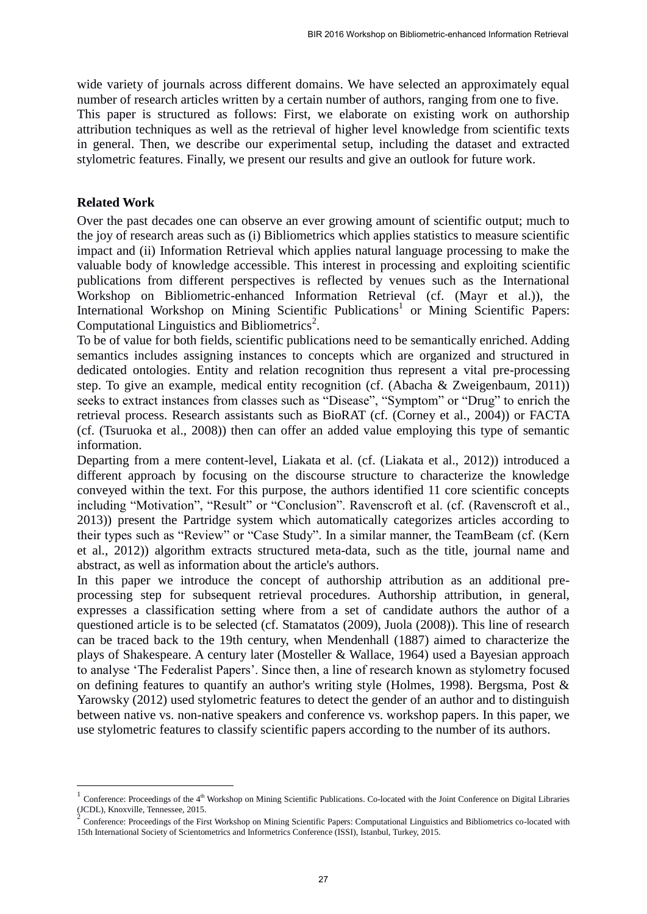wide variety of journals across different domains. We have selected an approximately equal number of research articles written by a certain number of authors, ranging from one to five. This paper is structured as follows: First, we elaborate on existing work on authorship attribution techniques as well as the retrieval of higher level knowledge from scientific texts in general. Then, we describe our experimental setup, including the dataset and extracted stylometric features. Finally, we present our results and give an outlook for future work.

#### **Related Work**

 $\overline{a}$ 

Over the past decades one can observe an ever growing amount of scientific output; much to the joy of research areas such as (i) Bibliometrics which applies statistics to measure scientific impact and (ii) Information Retrieval which applies natural language processing to make the valuable body of knowledge accessible. This interest in processing and exploiting scientific publications from different perspectives is reflected by venues such as the International Workshop on Bibliometric-enhanced Information Retrieval (cf. (Mayr et al.)), the International Workshop on Mining Scientific Publications<sup>1</sup> or Mining Scientific Papers: Computational Linguistics and Bibliometrics<sup>2</sup>.

To be of value for both fields, scientific publications need to be semantically enriched. Adding semantics includes assigning instances to concepts which are organized and structured in dedicated ontologies. Entity and relation recognition thus represent a vital pre-processing step. To give an example, medical entity recognition (cf. (Abacha & Zweigenbaum, 2011)) seeks to extract instances from classes such as "Disease", "Symptom" or "Drug" to enrich the retrieval process. Research assistants such as BioRAT (cf. (Corney et al., 2004)) or FACTA (cf. (Tsuruoka et al., 2008)) then can offer an added value employing this type of semantic information.

Departing from a mere content-level, Liakata et al. (cf. (Liakata et al., 2012)) introduced a different approach by focusing on the discourse structure to characterize the knowledge conveyed within the text. For this purpose, the authors identified 11 core scientific concepts including "Motivation", "Result" or "Conclusion". Ravenscroft et al. (cf. (Ravenscroft et al., 2013)) present the Partridge system which automatically categorizes articles according to their types such as "Review" or "Case Study". In a similar manner, the TeamBeam (cf. (Kern et al., 2012)) algorithm extracts structured meta-data, such as the title, journal name and abstract, as well as information about the article's authors.

In this paper we introduce the concept of authorship attribution as an additional preprocessing step for subsequent retrieval procedures. Authorship attribution, in general, expresses a classification setting where from a set of candidate authors the author of a questioned article is to be selected (cf. Stamatatos (2009), Juola (2008)). This line of research can be traced back to the 19th century, when Mendenhall (1887) aimed to characterize the plays of Shakespeare. A century later (Mosteller & Wallace, 1964) used a Bayesian approach to analyse 'The Federalist Papers'. Since then, a line of research known as stylometry focused on defining features to quantify an author's writing style (Holmes, 1998). Bergsma, Post & Yarowsky (2012) used stylometric features to detect the gender of an author and to distinguish between native vs. non-native speakers and conference vs. workshop papers. In this paper, we use stylometric features to classify scientific papers according to the number of its authors.

 $1$  Conference: Proceedings of the  $4<sup>th</sup>$  Workshop on Mining Scientific Publications. Co-located with the Joint Conference on Digital Libraries

<sup>(</sup>JCDL), Knoxville, Tennessee, 2015.<br><sup>2</sup> Conference: Proceedings of the First Workshop on Mining Scientific Papers: Computational Linguistics and Bibliometrics co-located with 15th International Society of Scientometrics and Informetrics Conference (ISSI), Istanbul, Turkey, 2015.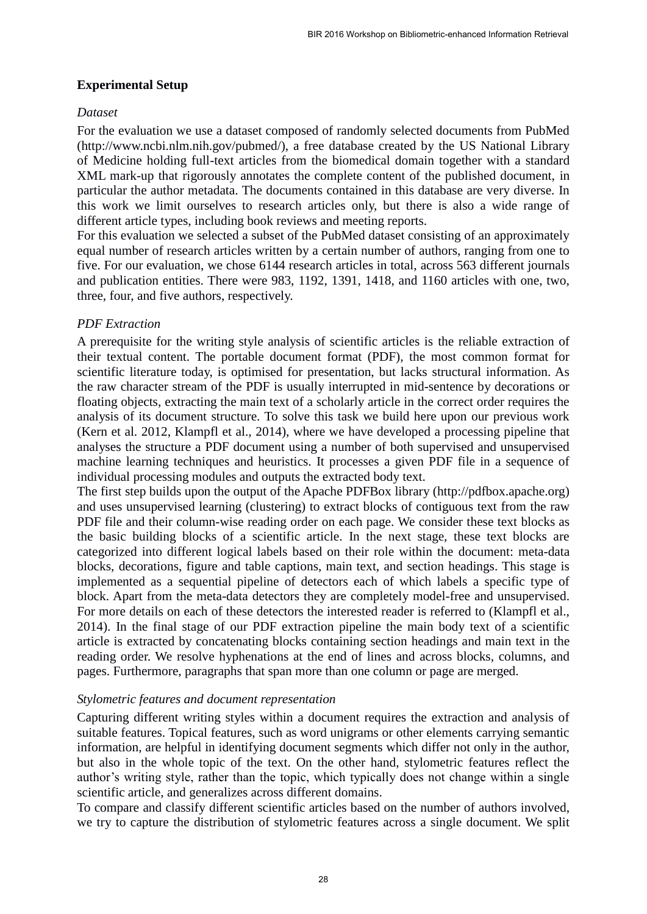## **Experimental Setup**

## *Dataset*

For the evaluation we use a dataset composed of randomly selected documents from PubMed (http://www.ncbi.nlm.nih.gov/pubmed/), a free database created by the US National Library of Medicine holding full-text articles from the biomedical domain together with a standard XML mark-up that rigorously annotates the complete content of the published document, in particular the author metadata. The documents contained in this database are very diverse. In this work we limit ourselves to research articles only, but there is also a wide range of different article types, including book reviews and meeting reports.

For this evaluation we selected a subset of the PubMed dataset consisting of an approximately equal number of research articles written by a certain number of authors, ranging from one to five. For our evaluation, we chose 6144 research articles in total, across 563 different journals and publication entities. There were 983, 1192, 1391, 1418, and 1160 articles with one, two, three, four, and five authors, respectively.

## *PDF Extraction*

A prerequisite for the writing style analysis of scientific articles is the reliable extraction of their textual content. The portable document format (PDF), the most common format for scientific literature today, is optimised for presentation, but lacks structural information. As the raw character stream of the PDF is usually interrupted in mid-sentence by decorations or floating objects, extracting the main text of a scholarly article in the correct order requires the analysis of its document structure. To solve this task we build here upon our previous work (Kern et al. 2012, Klampfl et al., 2014), where we have developed a processing pipeline that analyses the structure a PDF document using a number of both supervised and unsupervised machine learning techniques and heuristics. It processes a given PDF file in a sequence of individual processing modules and outputs the extracted body text.

The first step builds upon the output of the Apache PDFBox library (http://pdfbox.apache.org) and uses unsupervised learning (clustering) to extract blocks of contiguous text from the raw PDF file and their column-wise reading order on each page. We consider these text blocks as the basic building blocks of a scientific article. In the next stage, these text blocks are categorized into different logical labels based on their role within the document: meta-data blocks, decorations, figure and table captions, main text, and section headings. This stage is implemented as a sequential pipeline of detectors each of which labels a specific type of block. Apart from the meta-data detectors they are completely model-free and unsupervised. For more details on each of these detectors the interested reader is referred to (Klampfl et al., 2014). In the final stage of our PDF extraction pipeline the main body text of a scientific article is extracted by concatenating blocks containing section headings and main text in the reading order. We resolve hyphenations at the end of lines and across blocks, columns, and pages. Furthermore, paragraphs that span more than one column or page are merged.

## *Stylometric features and document representation*

Capturing different writing styles within a document requires the extraction and analysis of suitable features. Topical features, such as word unigrams or other elements carrying semantic information, are helpful in identifying document segments which differ not only in the author, but also in the whole topic of the text. On the other hand, stylometric features reflect the author's writing style, rather than the topic, which typically does not change within a single scientific article, and generalizes across different domains.

To compare and classify different scientific articles based on the number of authors involved, we try to capture the distribution of stylometric features across a single document. We split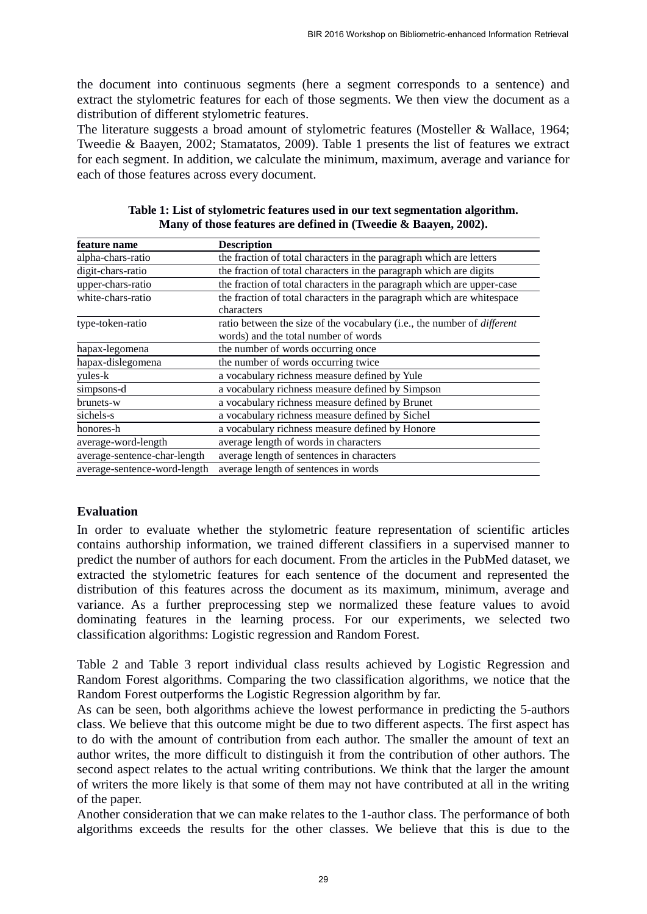the document into continuous segments (here a segment corresponds to a sentence) and extract the stylometric features for each of those segments. We then view the document as a distribution of different stylometric features.

The literature suggests a broad amount of stylometric features (Mosteller & Wallace, 1964; Tweedie & Baayen, 2002; Stamatatos, 2009). Table 1 presents the list of features we extract for each segment. In addition, we calculate the minimum, maximum, average and variance for each of those features across every document.

| feature name                 | <b>Description</b>                                                                                                     |  |  |
|------------------------------|------------------------------------------------------------------------------------------------------------------------|--|--|
| alpha-chars-ratio            | the fraction of total characters in the paragraph which are letters                                                    |  |  |
| digit-chars-ratio            | the fraction of total characters in the paragraph which are digits                                                     |  |  |
| upper-chars-ratio            | the fraction of total characters in the paragraph which are upper-case                                                 |  |  |
| white-chars-ratio            | the fraction of total characters in the paragraph which are whitespace<br>characters                                   |  |  |
| type-token-ratio             | ratio between the size of the vocabulary (i.e., the number of <i>different</i><br>words) and the total number of words |  |  |
| hapax-legomena               | the number of words occurring once                                                                                     |  |  |
| hapax-dislegomena            | the number of words occurring twice                                                                                    |  |  |
| yules-k                      | a vocabulary richness measure defined by Yule                                                                          |  |  |
| simpsons-d                   | a vocabulary richness measure defined by Simpson                                                                       |  |  |
| brunets-w                    | a vocabulary richness measure defined by Brunet                                                                        |  |  |
| sichels-s                    | a vocabulary richness measure defined by Sichel                                                                        |  |  |
| honores-h                    | a vocabulary richness measure defined by Honore                                                                        |  |  |
| average-word-length          | average length of words in characters                                                                                  |  |  |
| average-sentence-char-length | average length of sentences in characters                                                                              |  |  |
| average-sentence-word-length | average length of sentences in words                                                                                   |  |  |

**Table 1: List of stylometric features used in our text segmentation algorithm. Many of those features are defined in (Tweedie & Baayen, 2002).**

## **Evaluation**

In order to evaluate whether the stylometric feature representation of scientific articles contains authorship information, we trained different classifiers in a supervised manner to predict the number of authors for each document. From the articles in the PubMed dataset, we extracted the stylometric features for each sentence of the document and represented the distribution of this features across the document as its maximum, minimum, average and variance. As a further preprocessing step we normalized these feature values to avoid dominating features in the learning process. For our experiments, we selected two classification algorithms: Logistic regression and Random Forest.

Table 2 and Table 3 report individual class results achieved by Logistic Regression and Random Forest algorithms. Comparing the two classification algorithms, we notice that the Random Forest outperforms the Logistic Regression algorithm by far.

As can be seen, both algorithms achieve the lowest performance in predicting the 5-authors class. We believe that this outcome might be due to two different aspects. The first aspect has to do with the amount of contribution from each author. The smaller the amount of text an author writes, the more difficult to distinguish it from the contribution of other authors. The second aspect relates to the actual writing contributions. We think that the larger the amount of writers the more likely is that some of them may not have contributed at all in the writing of the paper.

Another consideration that we can make relates to the 1-author class. The performance of both algorithms exceeds the results for the other classes. We believe that this is due to the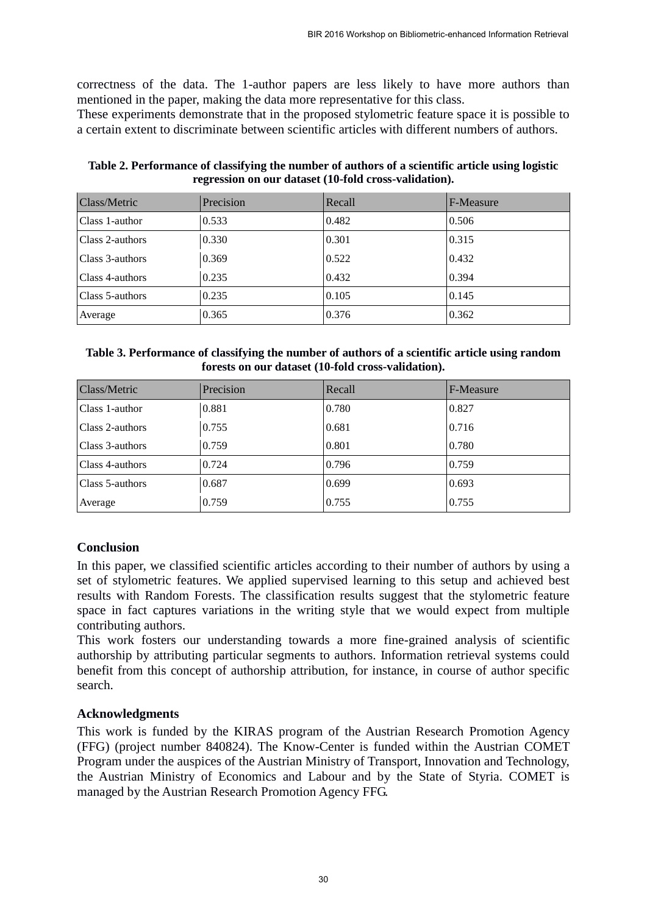correctness of the data. The 1-author papers are less likely to have more authors than mentioned in the paper, making the data more representative for this class.

These experiments demonstrate that in the proposed stylometric feature space it is possible to a certain extent to discriminate between scientific articles with different numbers of authors.

| Table 2. Performance of classifying the number of authors of a scientific article using logistic |
|--------------------------------------------------------------------------------------------------|
| regression on our dataset (10-fold cross-validation).                                            |

| Class/Metric    | Precision | Recall | F-Measure |
|-----------------|-----------|--------|-----------|
| Class 1-author  | 0.533     | 0.482  | 0.506     |
| Class 2-authors | 0.330     | 0.301  | 0.315     |
| Class 3-authors | 0.369     | 0.522  | 0.432     |
| Class 4-authors | 0.235     | 0.432  | 0.394     |
| Class 5-authors | 0.235     | 0.105  | 0.145     |
| Average         | 0.365     | 0.376  | 0.362     |

#### **Table 3. Performance of classifying the number of authors of a scientific article using random forests on our dataset (10-fold cross-validation).**

| <b>Class/Metric</b> | Precision | Recall | F-Measure |
|---------------------|-----------|--------|-----------|
| Class 1-author      | 0.881     | 0.780  | 0.827     |
| Class 2-authors     | 0.755     | 0.681  | 0.716     |
| Class 3-authors     | 0.759     | 0.801  | 0.780     |
| Class 4-authors     | 0.724     | 0.796  | 0.759     |
| Class 5-authors     | 0.687     | 0.699  | 0.693     |
| Average             | 0.759     | 0.755  | 0.755     |

## **Conclusion**

In this paper, we classified scientific articles according to their number of authors by using a set of stylometric features. We applied supervised learning to this setup and achieved best results with Random Forests. The classification results suggest that the stylometric feature space in fact captures variations in the writing style that we would expect from multiple contributing authors.

This work fosters our understanding towards a more fine-grained analysis of scientific authorship by attributing particular segments to authors. Information retrieval systems could benefit from this concept of authorship attribution, for instance, in course of author specific search.

## **Acknowledgments**

This work is funded by the KIRAS program of the Austrian Research Promotion Agency (FFG) (project number 840824). The Know-Center is funded within the Austrian COMET Program under the auspices of the Austrian Ministry of Transport, Innovation and Technology, the Austrian Ministry of Economics and Labour and by the State of Styria. COMET is managed by the Austrian Research Promotion Agency FFG.